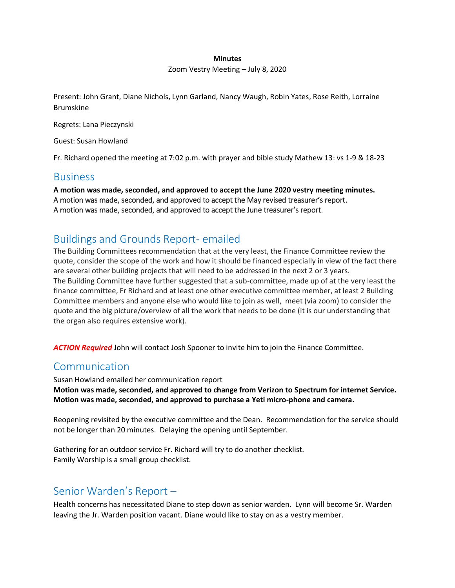#### **Minutes**

Zoom Vestry Meeting – July 8, 2020

Present: John Grant, Diane Nichols, Lynn Garland, Nancy Waugh, Robin Yates, Rose Reith, Lorraine Brumskine

Regrets: Lana Pieczynski

Guest: Susan Howland

Fr. Richard opened the meeting at 7:02 p.m. with prayer and bible study Mathew 13: vs 1-9 & 18-23

#### **Business**

**A motion was made, seconded, and approved to accept the June 2020 vestry meeting minutes.** A motion was made, seconded, and approved to accept the May revised treasurer's report. A motion was made, seconded, and approved to accept the June treasurer's report.

## Buildings and Grounds Report- emailed

The Building Committees recommendation that at the very least, the Finance Committee review the quote, consider the scope of the work and how it should be financed especially in view of the fact there are several other building projects that will need to be addressed in the next 2 or 3 years. The Building Committee have further suggested that a sub-committee, made up of at the very least the finance committee, Fr Richard and at least one other executive committee member, at least 2 Building Committee members and anyone else who would like to join as well, meet (via zoom) to consider the quote and the big picture/overview of all the work that needs to be done (it is our understanding that the organ also requires extensive work).

*ACTION Required* John will contact Josh Spooner to invite him to join the Finance Committee.

#### Communication

Susan Howland emailed her communication report **Motion was made, seconded, and approved to change from Verizon to Spectrum for internet Service. Motion was made, seconded, and approved to purchase a Yeti micro-phone and camera.**

Reopening revisited by the executive committee and the Dean. Recommendation for the service should not be longer than 20 minutes. Delaying the opening until September.

Gathering for an outdoor service Fr. Richard will try to do another checklist. Family Worship is a small group checklist.

### Senior Warden's Report –

Health concerns has necessitated Diane to step down as senior warden. Lynn will become Sr. Warden leaving the Jr. Warden position vacant. Diane would like to stay on as a vestry member.